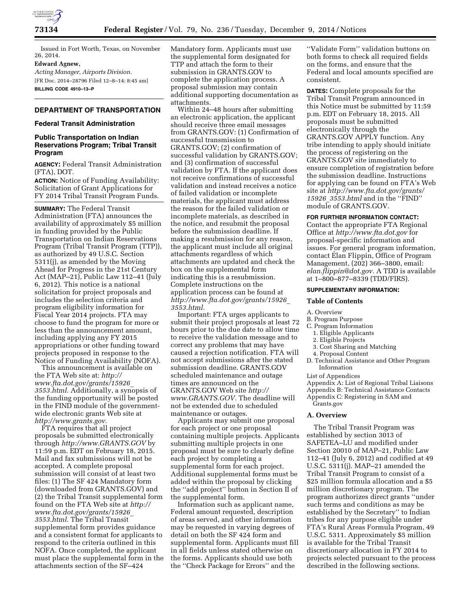

Issued in Fort Worth, Texas, on November 26, 2014.

## **Edward Agnew,**

*Acting Manager, Airports Division.*  [FR Doc. 2014–28796 Filed 12–8–14; 8:45 am] **BILLING CODE 4910–13–P** 

## **DEPARTMENT OF TRANSPORTATION**

#### **Federal Transit Administration**

### **Public Transportation on Indian Reservations Program; Tribal Transit Program**

**AGENCY:** Federal Transit Administration (FTA), DOT.

**ACTION:** Notice of Funding Availability: Solicitation of Grant Applications for FY 2014 Tribal Transit Program Funds.

**SUMMARY:** The Federal Transit Administration (FTA) announces the availability of approximately \$5 million in funding provided by the Public Transportation on Indian Reservations Program (Tribal Transit Program (TTP)), as authorized by 49 U.S.C. Section 5311(j), as amended by the Moving Ahead for Progress in the 21st Century Act (MAP–21), Public Law 112–41 (July 6, 2012). This notice is a national solicitation for project proposals and includes the selection criteria and program eligibility information for Fiscal Year 2014 projects. FTA may choose to fund the program for more or less than the announcement amount, including applying any FY 2015 appropriations or other funding toward projects proposed in response to the Notice of Funding Availability (NOFA).

This announcement is available on the FTA Web site at: *[http://](http://www.fta.dot.gov/grants/15926_3553.html) [www.fta.dot.gov/grants/15926](http://www.fta.dot.gov/grants/15926_3553.html)*\_ *[3553.html.](http://www.fta.dot.gov/grants/15926_3553.html)* Additionally, a synopsis of the funding opportunity will be posted in the FIND module of the governmentwide electronic grants Web site at *[http://www.grants.gov.](http://www.grants.gov)* 

FTA requires that all project proposals be submitted electronically through *<http://www.GRANTS.GOV>*by 11:59 p.m. EDT on February 18, 2015. Mail and fax submissions will not be accepted. A complete proposal submission will consist of at least two files: (1) The SF 424 Mandatory form (downloaded from GRANTS.GOV) and (2) the Tribal Transit supplemental form found on the FTA Web site at *[http://](http://www.fta.dot.gov/grants/15926_3553.html) [www.fta.dot.gov/grants/15926](http://www.fta.dot.gov/grants/15926_3553.html)*\_ *[3553.html.](http://www.fta.dot.gov/grants/15926_3553.html)* The Tribal Transit supplemental form provides guidance and a consistent format for applicants to respond to the criteria outlined in this NOFA. Once completed, the applicant must place the supplemental form in the attachments section of the SF–424

Mandatory form. Applicants must use the supplemental form designated for TTP and attach the form to their submission in GRANTS.GOV to complete the application process. A proposal submission may contain additional supporting documentation as attachments.

Within 24–48 hours after submitting an electronic application, the applicant should receive three email messages from GRANTS.GOV: (1) Confirmation of successful transmission to GRANTS.GOV; (2) confirmation of successful validation by GRANTS.GOV; and (3) confirmation of successful validation by FTA. If the applicant does not receive confirmations of successful validation and instead receives a notice of failed validation or incomplete materials, the applicant must address the reason for the failed validation or incomplete materials, as described in the notice, and resubmit the proposal before the submission deadline. If making a resubmission for any reason, the applicant must include all original attachments regardless of which attachments are updated and check the box on the supplemental form indicating this is a resubmission. Complete instructions on the application process can be found at *[http://www.fta.dot.gov/grants/15926](http://www.fta.dot.gov/grants/15926_3553.html)*\_ *[3553.html.](http://www.fta.dot.gov/grants/15926_3553.html)* 

Important: FTA urges applicants to submit their project proposals at least 72 hours prior to the due date to allow time to receive the validation message and to correct any problems that may have caused a rejection notification. FTA will not accept submissions after the stated submission deadline. GRANTS.GOV scheduled maintenance and outage times are announced on the GRANTS.GOV Web site *[http://](http://www.GRANTS.GOV) [www.GRANTS.GOV.](http://www.GRANTS.GOV)* The deadline will not be extended due to scheduled maintenance or outages.

Applicants may submit one proposal for each project or one proposal containing multiple projects. Applicants submitting multiple projects in one proposal must be sure to clearly define each project by completing a supplemental form for each project. Additional supplemental forms must be added within the proposal by clicking the ''add project'' button in Section II of the supplemental form.

Information such as applicant name, Federal amount requested, description of areas served, and other information may be requested in varying degrees of detail on both the SF 424 form and supplemental form. Applicants must fill in all fields unless stated otherwise on the forms. Applicants should use both the ''Check Package for Errors'' and the

''Validate Form'' validation buttons on both forms to check all required fields on the forms, and ensure that the Federal and local amounts specified are consistent.

**DATES:** Complete proposals for the Tribal Transit Program announced in this Notice must be submitted by 11:59 p.m. EDT on February 18, 2015. All proposals must be submitted electronically through the GRANTS.GOV APPLY function. Any tribe intending to apply should initiate the process of registering on the GRANTS.GOV site immediately to ensure completion of registration before the submission deadline. Instructions for applying can be found on FTA's Web site at *[http://www.fta.dot.gov/grants/](http://www.fta.dot.gov/grants/15926_3553.html) 15926*\_*[3553.html](http://www.fta.dot.gov/grants/15926_3553.html)* and in the ''FIND'' module of GRANTS.GOV.

#### **FOR FURTHER INFORMATION CONTACT:**

Contact the appropriate FTA Regional Office at *<http://www.fta.dot.gov>*for proposal-specific information and issues. For general program information, contact Élan Flippin, Office of Program Management, (202) 366–3800, email: *[elan.flippin@dot.gov.](mailto:elan.flippin@dot.gov)* A TDD is available at 1–800–877–8339 (TDD/FIRS).

# **SUPPLEMENTARY INFORMATION:**

#### **Table of Contents**

A. Overview

#### B. Program Purpose

- C. Program Information
	- 1. Eligible Applicants
	- 2. Eligible Projects
	- 3. Cost Sharing and Matching
- 4. Proposal Content
- D. Technical Assistance and Other Program Information

List of Appendices

Appendix A: List of Regional Tribal Liaisons Appendix B: Technical Assistance Contacts Appendix C: Registering in SAM and Grants.gov

#### **A. Overview**

The Tribal Transit Program was established by section 3013 of SAFETEA–LU and modified under Section 20010 of MAP–21, Public Law 112–41 (July 6, 2012) and codified at 49 U.S.C. 5311(j). MAP–21 amended the Tribal Transit Program to consist of a \$25 million formula allocation and a \$5 million discretionary program. The program authorizes direct grants ''under such terms and conditions as may be established by the Secretary'' to Indian tribes for any purpose eligible under FTA's Rural Areas Formula Program, 49 U.S.C. 5311. Approximately \$5 million is available for the Tribal Transit discretionary allocation in FY 2014 to projects selected pursuant to the process described in the following sections.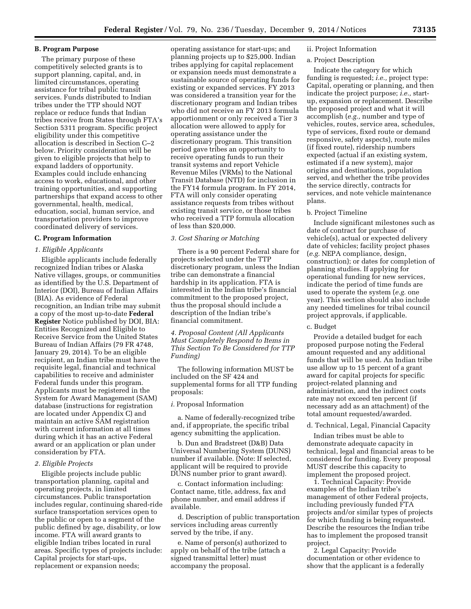### **B. Program Purpose**

The primary purpose of these competitively selected grants is to support planning, capital, and, in limited circumstances, operating assistance for tribal public transit services. Funds distributed to Indian tribes under the TTP should NOT replace or reduce funds that Indian tribes receive from States through FTA's Section 5311 program. Specific project eligibility under this competitive allocation is described in Section C–2 below. Priority consideration will be given to eligible projects that help to expand ladders of opportunity. Examples could include enhancing access to work, educational, and other training opportunities, and supporting partnerships that expand access to other governmental, health, medical, education, social, human service, and transportation providers to improve coordinated delivery of services.

#### **C. Program Information**

#### *1. Eligible Applicants*

Eligible applicants include federally recognized Indian tribes or Alaska Native villages, groups, or communities as identified by the U.S. Department of Interior (DOI), Bureau of Indian Affairs (BIA). As evidence of Federal recognition, an Indian tribe may submit a copy of the most up-to-date **Federal Register** Notice published by DOI, BIA: Entities Recognized and Eligible to Receive Service from the United States Bureau of Indian Affairs (79 FR 4748, January 29, 2014). To be an eligible recipient, an Indian tribe must have the requisite legal, financial and technical capabilities to receive and administer Federal funds under this program. Applicants must be registered in the System for Award Management (SAM) database (instructions for registration are located under Appendix C) and maintain an active SAM registration with current information at all times during which it has an active Federal award or an application or plan under consideration by FTA.

#### *2. Eligible Projects*

Eligible projects include public transportation planning, capital and operating projects, in limited circumstances. Public transportation includes regular, continuing shared-ride surface transportation services open to the public or open to a segment of the public defined by age, disability, or low income. FTA will award grants to eligible Indian tribes located in rural areas. Specific types of projects include: Capital projects for start-ups, replacement or expansion needs;

operating assistance for start-ups; and planning projects up to \$25,000. Indian tribes applying for capital replacement or expansion needs must demonstrate a sustainable source of operating funds for existing or expanded services. FY 2013 was considered a transition year for the discretionary program and Indian tribes who did not receive an FY 2013 formula apportionment or only received a Tier 3 allocation were allowed to apply for operating assistance under the discretionary program. This transition period gave tribes an opportunity to receive operating funds to run their transit systems and report Vehicle Revenue Miles (VRMs) to the National Transit Database (NTD) for inclusion in the FY14 formula program. In FY 2014, FTA will only consider operating assistance requests from tribes without existing transit service, or those tribes who received a TTP formula allocation of less than \$20,000.

#### *3. Cost Sharing or Matching*

There is a 90 percent Federal share for projects selected under the TTP discretionary program, unless the Indian tribe can demonstrate a financial hardship in its application. FTA is interested in the Indian tribe's financial commitment to the proposed project, thus the proposal should include a description of the Indian tribe's financial commitment.

# *4. Proposal Content (All Applicants Must Completely Respond to Items in This Section To Be Considered for TTP Funding)*

The following information MUST be included on the SF 424 and supplemental forms for all TTP funding proposals:

### *i.* Proposal Information

a. Name of federally-recognized tribe and, if appropriate, the specific tribal agency submitting the application.

b. Dun and Bradstreet (D&B) Data Universal Numbering System (DUNS) number if available. (Note: If selected, applicant will be required to provide DUNS number prior to grant award).

c. Contact information including: Contact name, title, address, fax and phone number, and email address if available.

d. Description of public transportation services including areas currently served by the tribe, if any.

e. Name of person(s) authorized to apply on behalf of the tribe (attach a signed transmittal letter) must accompany the proposal.

# ii. Project Information

# a. Project Description

Indicate the category for which funding is requested; *i.e.,* project type: Capital, operating or planning, and then indicate the project purpose; *i.e.,* startup, expansion or replacement. Describe the proposed project and what it will accomplish (*e.g.,* number and type of vehicles, routes, service area, schedules, type of services, fixed route or demand responsive, safety aspects), route miles (if fixed route), ridership numbers expected (actual if an existing system, estimated if a new system), major origins and destinations, population served, and whether the tribe provides the service directly, contracts for services, and note vehicle maintenance plans.

#### b. Project Timeline

Include significant milestones such as date of contract for purchase of vehicle(s), actual or expected delivery date of vehicles; facility project phases (*e.g.* NEPA compliance, design, construction); or dates for completion of planning studies. If applying for operational funding for new services, indicate the period of time funds are used to operate the system (*e.g.* one year). This section should also include any needed timelines for tribal council project approvals, if applicable.

#### c. Budget

Provide a detailed budget for each proposed purpose noting the Federal amount requested and any additional funds that will be used. An Indian tribe use allow up to 15 percent of a grant award for capital projects for specific project-related planning and administration, and the indirect costs rate may not exceed ten percent (if necessary add as an attachment) of the total amount requested/awarded.

#### d. Technical, Legal, Financial Capacity

Indian tribes must be able to demonstrate adequate capacity in technical, legal and financial areas to be considered for funding. Every proposal MUST describe this capacity to implement the proposed project.

1. Technical Capacity: Provide examples of the Indian tribe's management of other Federal projects, including previously funded FTA projects and/or similar types of projects for which funding is being requested. Describe the resources the Indian tribe has to implement the proposed transit project.

2. Legal Capacity: Provide documentation or other evidence to show that the applicant is a federally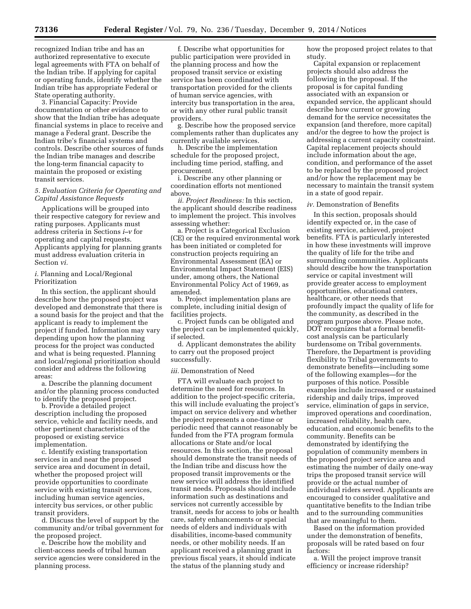recognized Indian tribe and has an authorized representative to execute legal agreements with FTA on behalf of the Indian tribe. If applying for capital or operating funds, identify whether the Indian tribe has appropriate Federal or State operating authority.

3. Financial Capacity: Provide documentation or other evidence to show that the Indian tribe has adequate financial systems in place to receive and manage a Federal grant. Describe the Indian tribe's financial systems and controls. Describe other sources of funds the Indian tribe manages and describe the long-term financial capacity to maintain the proposed or existing transit services.

# *5. Evaluation Criteria for Operating and Capital Assistance Requests*

Applications will be grouped into their respective category for review and rating purposes. Applicants must address criteria in Sections *i–v* for operating and capital requests. Applicants applying for planning grants must address evaluation criteria in Section *vi.* 

*i.* Planning and Local/Regional Prioritization

In this section, the applicant should describe how the proposed project was developed and demonstrate that there is a sound basis for the project and that the applicant is ready to implement the project if funded. Information may vary depending upon how the planning process for the project was conducted and what is being requested. Planning and local/regional prioritization should consider and address the following areas:

a. Describe the planning document and/or the planning process conducted to identify the proposed project.

b. Provide a detailed project description including the proposed service, vehicle and facility needs, and other pertinent characteristics of the proposed or existing service implementation.

c. Identify existing transportation services in and near the proposed service area and document in detail, whether the proposed project will provide opportunities to coordinate service with existing transit services, including human service agencies, intercity bus services, or other public transit providers.

d. Discuss the level of support by the community and/or tribal government for the proposed project.

e. Describe how the mobility and client-access needs of tribal human service agencies were considered in the planning process.

f. Describe what opportunities for public participation were provided in the planning process and how the proposed transit service or existing service has been coordinated with transportation provided for the clients of human service agencies, with intercity bus transportation in the area, or with any other rural public transit providers.

g. Describe how the proposed service complements rather than duplicates any currently available services.

h. Describe the implementation schedule for the proposed project, including time period, staffing, and procurement.

i. Describe any other planning or coordination efforts not mentioned above.

*ii. Project Readiness:* In this section, the applicant should describe readiness to implement the project. This involves assessing whether:

a. Project is a Categorical Exclusion (CE) or the required environmental work has been initiated or completed for construction projects requiring an Environmental Assessment (EA) or Environmental Impact Statement (EIS) under, among others, the National Environmental Policy Act of 1969, as amended.

b. Project implementation plans are complete, including initial design of facilities projects.

c. Project funds can be obligated and the project can be implemented quickly, if selected.

d. Applicant demonstrates the ability to carry out the proposed project successfully.

## *iii.* Demonstration of Need

FTA will evaluate each project to determine the need for resources. In addition to the project-specific criteria, this will include evaluating the project's impact on service delivery and whether the project represents a one-time or periodic need that cannot reasonably be funded from the FTA program formula allocations or State and/or local resources. In this section, the proposal should demonstrate the transit needs of the Indian tribe and discuss how the proposed transit improvements or the new service will address the identified transit needs. Proposals should include information such as destinations and services not currently accessible by transit, needs for access to jobs or health care, safety enhancements or special needs of elders and individuals with disabilities, income-based community needs, or other mobility needs. If an applicant received a planning grant in previous fiscal years, it should indicate the status of the planning study and

how the proposed project relates to that study.

Capital expansion or replacement projects should also address the following in the proposal. If the proposal is for capital funding associated with an expansion or expanded service, the applicant should describe how current or growing demand for the service necessitates the expansion (and therefore, more capital) and/or the degree to how the project is addressing a current capacity constraint. Capital replacement projects should include information about the age, condition, and performance of the asset to be replaced by the proposed project and/or how the replacement may be necessary to maintain the transit system in a state of good repair.

#### *iv.* Demonstration of Benefits

In this section, proposals should identify expected or, in the case of existing service, achieved, project benefits. FTA is particularly interested in how these investments will improve the quality of life for the tribe and surrounding communities. Applicants should describe how the transportation service or capital investment will provide greater access to employment opportunities, educational centers, healthcare, or other needs that profoundly impact the quality of life for the community, as described in the program purpose above. Please note, DOT recognizes that a formal benefitcost analysis can be particularly burdensome on Tribal governments. Therefore, the Department is providing flexibility to Tribal governments to demonstrate benefits—including some of the following examples—for the purposes of this notice. Possible examples include increased or sustained ridership and daily trips, improved service, elimination of gaps in service, improved operations and coordination, increased reliability, health care, education, and economic benefits to the community. Benefits can be demonstrated by identifying the population of community members in the proposed project service area and estimating the number of daily one-way trips the proposed transit service will provide or the actual number of individual riders served. Applicants are encouraged to consider qualitative and quantitative benefits to the Indian tribe and to the surrounding communities that are meaningful to them.

Based on the information provided under the demonstration of benefits, proposals will be rated based on four factors:

a. Will the project improve transit efficiency or increase ridership?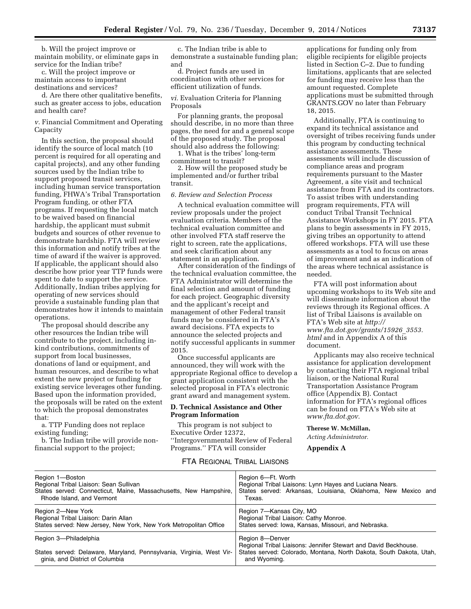b. Will the project improve or maintain mobility, or eliminate gaps in service for the Indian tribe?

c. Will the project improve or maintain access to important destinations and services?

d. Are there other qualitative benefits, such as greater access to jobs, education and health care?

*v.* Financial Commitment and Operating Capacity

In this section, the proposal should identify the source of local match (10 percent is required for all operating and capital projects), and any other funding sources used by the Indian tribe to support proposed transit services, including human service transportation funding, FHWA's Tribal Transportation Program funding, or other FTA programs. If requesting the local match to be waived based on financial hardship, the applicant must submit budgets and sources of other revenue to demonstrate hardship. FTA will review this information and notify tribes at the time of award if the waiver is approved. If applicable, the applicant should also describe how prior year TTP funds were spent to date to support the service. Additionally, Indian tribes applying for operating of new services should provide a sustainable funding plan that demonstrates how it intends to maintain operations.

The proposal should describe any other resources the Indian tribe will contribute to the project, including inkind contributions, commitments of support from local businesses, donations of land or equipment, and human resources, and describe to what extent the new project or funding for existing service leverages other funding. Based upon the information provided, the proposals will be rated on the extent to which the proposal demonstrates that:

a. TTP Funding does not replace existing funding;

b. The Indian tribe will provide nonfinancial support to the project;

c. The Indian tribe is able to demonstrate a sustainable funding plan; and

d. Project funds are used in coordination with other services for efficient utilization of funds.

*vi.* Evaluation Criteria for Planning Proposals

For planning grants, the proposal should describe, in no more than three pages, the need for and a general scope of the proposed study. The proposal should also address the following:

1. What is the tribes' long-term commitment to transit?

2. How will the proposed study be implemented and/or further tribal transit.

# *6. Review and Selection Process*

A technical evaluation committee will review proposals under the project evaluation criteria. Members of the technical evaluation committee and other involved FTA staff reserve the right to screen, rate the applications, and seek clarification about any statement in an application.

After consideration of the findings of the technical evaluation committee, the FTA Administrator will determine the final selection and amount of funding for each project. Geographic diversity and the applicant's receipt and management of other Federal transit funds may be considered in FTA's award decisions. FTA expects to announce the selected projects and notify successful applicants in summer 2015.

Once successful applicants are announced, they will work with the appropriate Regional office to develop a grant application consistent with the selected proposal in FTA's electronic grant award and management system.

### **D. Technical Assistance and Other Program Information**

This program is not subject to Executive Order 12372, ''Intergovernmental Review of Federal Programs.'' FTA will consider

applications for funding only from eligible recipients for eligible projects listed in Section C–2. Due to funding limitations, applicants that are selected for funding may receive less than the amount requested. Complete applications must be submitted through GRANTS.GOV no later than February 18, 2015.

Additionally, FTA is continuing to expand its technical assistance and oversight of tribes receiving funds under this program by conducting technical assistance assessments. These assessments will include discussion of compliance areas and program requirements pursuant to the Master Agreement, a site visit and technical assistance from FTA and its contractors. To assist tribes with understanding program requirements, FTA will conduct Tribal Transit Technical Assistance Workshops in FY 2015. FTA plans to begin assessments in FY 2015, giving tribes an opportunity to attend offered workshops. FTA will use these assessments as a tool to focus on areas of improvement and as an indication of the areas where technical assistance is needed.

FTA will post information about upcoming workshops to its Web site and will disseminate information about the reviews through its Regional offices. A list of Tribal Liaisons is available on FTA's Web site at *[http://](http://www.fta.dot.gov/grants/15926_3553.html)  [www.fta.dot.gov/grants/15926](http://www.fta.dot.gov/grants/15926_3553.html)*\_*3553. [html](http://www.fta.dot.gov/grants/15926_3553.html)* and in Appendix A of this document.

Applicants may also receive technical assistance for application development by contacting their FTA regional tribal liaison, or the National Rural Transportation Assistance Program office (Appendix B). Contact information for FTA's regional offices can be found on FTA's Web site at *[www.fta.dot.gov.](http://www.fta.dot.gov)* 

#### **Therese W. McMillan,**

*Acting Administrator.* 

## **Appendix A**

# FTA REGIONAL TRIBAL LIAISONS

| Region 1-Boston                                                                                                                  | Region 6-Ft. Worth                                                                                                                                                        |
|----------------------------------------------------------------------------------------------------------------------------------|---------------------------------------------------------------------------------------------------------------------------------------------------------------------------|
| Regional Tribal Liaison: Sean Sullivan                                                                                           | Regional Tribal Liaisons: Lynn Hayes and Luciana Nears.                                                                                                                   |
| States served: Connecticut, Maine, Massachusetts, New Hampshire,                                                                 | States served: Arkansas, Louisiana, Oklahoma, New Mexico and                                                                                                              |
| Rhode Island, and Vermont                                                                                                        | Texas.                                                                                                                                                                    |
| Region 2-New York                                                                                                                | Region 7-Kansas City, MO                                                                                                                                                  |
| Regional Tribal Liaison: Darin Allan                                                                                             | Regional Tribal Liaison: Cathy Monroe.                                                                                                                                    |
| States served: New Jersey, New York, New York Metropolitan Office                                                                | States served: Iowa, Kansas, Missouri, and Nebraska.                                                                                                                      |
| Region 3-Philadelphia<br>States served: Delaware, Maryland, Pennsylvania, Virginia, West Vir-<br>ginia, and District of Columbia | Region 8-Denver<br>Regional Tribal Liaisons: Jennifer Stewart and David Beckhouse.<br>States served: Colorado, Montana, North Dakota, South Dakota, Utah,<br>and Wyoming. |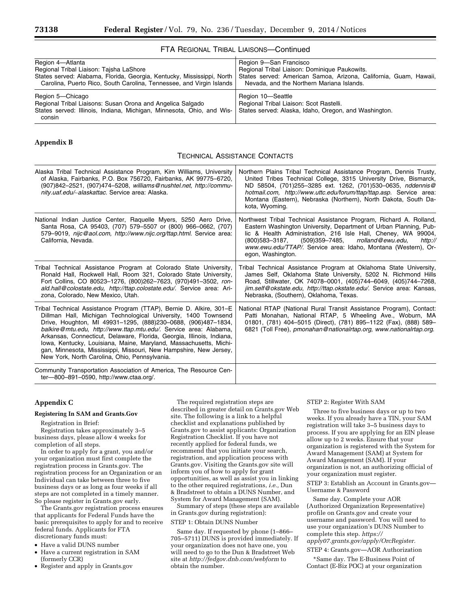# FTA REGIONAL TRIBAL LIAISONS—Continued

| Region 4-Atlanta                                                                                                                                                  | Region 9-San Francisco                                                                                                |
|-------------------------------------------------------------------------------------------------------------------------------------------------------------------|-----------------------------------------------------------------------------------------------------------------------|
| Regional Tribal Liaison: Tajsha LaShore                                                                                                                           | Regional Tribal Liaison: Dominique Paukowits.                                                                         |
| States served: Alabama, Florida, Georgia, Kentucky, Mississippi, North                                                                                            | States served: American Samoa, Arizona, California, Guam, Hawaii,                                                     |
| Carolina, Puerto Rico, South Carolina, Tennessee, and Virgin Islands                                                                                              | Nevada, and the Northern Mariana Islands.                                                                             |
| Region 5-Chicago<br>Regional Tribal Liaisons: Susan Orona and Angelica Salgado<br>States served: Illinois, Indiana, Michigan, Minnesota, Ohio, and Wis-<br>consin | Region 10-Seattle<br>Regional Tribal Liaison: Scot Rastelli.<br>States served: Alaska, Idaho, Oregon, and Washington. |

#### **Appendix B**

#### TECHNICAL ASSISTANCE CONTACTS

| Alaska Tribal Technical Assistance Program, Kim Williams, University<br>of Alaska, Fairbanks, P.O. Box 756720, Fairbanks, AK 99775-6720,<br>(907)842-2521, (907)474-5208, williams@nushtel.net, http://commu-<br>nity.uaf.edu/~alaskattac. Service area: Alaska.                                                                                                                                                                                                                                                                                | Northern Plains Tribal Technical Assistance Program, Dennis Trusty,<br>United Tribes Technical College, 3315 University Drive, Bismarck,<br>ND 58504, (701)255-3285 ext. 1262, (701)530-0635, nddennis@<br>hotmail.com, http://www.uttc.edu/forum/ttap/ttap.asp. Service area:<br>Montana (Eastern), Nebraska (Northern), North Dakota, South Da-<br>kota, Wyoming. |
|-------------------------------------------------------------------------------------------------------------------------------------------------------------------------------------------------------------------------------------------------------------------------------------------------------------------------------------------------------------------------------------------------------------------------------------------------------------------------------------------------------------------------------------------------|---------------------------------------------------------------------------------------------------------------------------------------------------------------------------------------------------------------------------------------------------------------------------------------------------------------------------------------------------------------------|
| National Indian Justice Center, Raquelle Myers, 5250 Aero Drive,<br>Santa Rosa, CA 95403, (707) 579-5507 or (800) 966-0662, (707)<br>579-9019, nijc@aol.com, http://www.nijc.org/ttap.html. Service area:<br>California, Nevada.                                                                                                                                                                                                                                                                                                                | Northwest Tribal Technical Assistance Program, Richard A. Rolland,<br>Eastern Washington University, Department of Urban Planning, Pub-<br>lic & Health Administration, 216 Isle Hall, Cheney, WA 99004,<br>(509)359-7485,<br>rrolland@ewu.edu,<br>(800)583-3187,<br>http://<br>www.ewu.edu/TTAP/. Service area: Idaho, Montana (Western), Or-<br>egon, Washington. |
| Tribal Technical Assistance Program at Colorado State University,<br>Ronald Hall, Rockwell Hall, Room 321, Colorado State University,<br>Fort Collins, CO 80523-1276, (800)262-7623, (970)491-3502, ron-<br>ald.hall@colostate.edu, http://ttap.colostate.edu/. Service area: Ari-<br>zona, Colorado, New Mexico, Utah.                                                                                                                                                                                                                         | Tribal Technical Assistance Program at Oklahoma State University,<br>James Self, Oklahoma State University, 5202 N. Richmond Hills<br>Road, Stillwater, OK 74078-0001, (405)744-6049, (405)744-7268,<br>jim.self@okstate.edu, http://ttap.okstate.edu/. Service area: Kansas,<br>Nebraska, (Southern), Oklahoma, Texas.                                             |
| Tribal Technical Assistance Program (TTAP), Bernie D. Alkire, 301–E<br>Dillman Hall, Michigan Technological University, 1400 Townsend<br>Drive, Houghton, MI 49931-1295, (888)230-0688, (906)487-1834,<br>balkire@mtu.edu, http://www.ttap.mtu.edu/. Service area: Alabama,<br>Arkansas, Connecticut, Delaware, Florida, Georgia, Illinois, Indiana,<br>Iowa, Kentucky, Louisiana, Maine, Maryland, Massachusetts, Michi-<br>gan, Minnesota, Mississippi, Missouri, New Hampshire, New Jersey,<br>New York, North Carolina, Ohio, Pennsylvania. | National RTAP (National Rural Transit Assistance Program), Contact:<br>Patti Monahan, National RTAP, 5 Wheeling Ave., Woburn, MA<br>01801, (781) 404-5015 (Direct), (781) 895-1122 (Fax), (888) 589-<br>6821 (Toll Free), pmonahan@nationalrtap.org, www.nationalrtap.org.                                                                                          |
| Community Transportation Association of America, The Resource Cen-<br>ter-800-891-0590, http://www.ctaa.org/.                                                                                                                                                                                                                                                                                                                                                                                                                                   |                                                                                                                                                                                                                                                                                                                                                                     |

# **Appendix C**

### **Registering In SAM and Grants.Gov**

Registration in Brief:

Registration takes approximately 3–5 business days, please allow 4 weeks for completion of all steps.

In order to apply for a grant, you and/or your organization must first complete the registration process in Grants.gov. The registration process for an Organization or an Individual can take between three to five business days or as long as four weeks if all steps are not completed in a timely manner. So please register in Grants.gov early.

The Grants.gov registration process ensures that applicants for Federal Funds have the basic prerequisites to apply for and to receive federal funds. Applicants for FTA discretionary funds must:

- Have a valid DUNS number
- Have a current registration in SAM (formerly CCR)
- Register and apply in Grants.gov

The required registration steps are described in greater detail on Grants.gov Web site. The following is a link to a helpful checklist and explanations published by Grants.gov to assist applicants: Organization Registration Checklist. If you have not recently applied for federal funds, we recommend that you initiate your search, registration, and application process with Grants.gov. Visiting the Grants.gov site will inform you of how to apply for grant opportunities, as well as assist you in linking to the other required registrations, *i.e.,* Dun & Bradstreet to obtain a DUNS Number, and System for Award Management (SAM).

Summary of steps (these steps are available in Grants.gov during registration): STEP 1: Obtain DUNS Number

Same day. If requested by phone (1–866– 705–5711) DUNS is provided immediately. If your organization does not have one, you will need to go to the Dun & Bradstreet Web site at *<http://fedgov.dnb.com/webform>*to obtain the number.

#### STEP 2: Register With SAM

Three to five business days or up to two weeks. If you already have a TIN, your SAM registration will take 3–5 business days to process. If you are applying for an EIN please allow up to 2 weeks. Ensure that your organization is registered with the System for Award Management (SAM) at System for Award Management (SAM). If your organization is not, an authorizing official of your organization must register.

STEP 3: Establish an Account in Grants.gov— Username & Password

Same day. Complete your AOR (Authorized Organization Representative) profile on Grants.gov and create your username and password. You will need to use your organization's DUNS Number to complete this step. *[https://](https://apply07.grants.gov/apply/OrcRegister) [apply07.grants.gov/apply/OrcRegister.](https://apply07.grants.gov/apply/OrcRegister)*  STEP 4: Grants.gov—AOR Authorization

\*Same day. The E-Business Point of Contact (E-Biz POC) at your organization